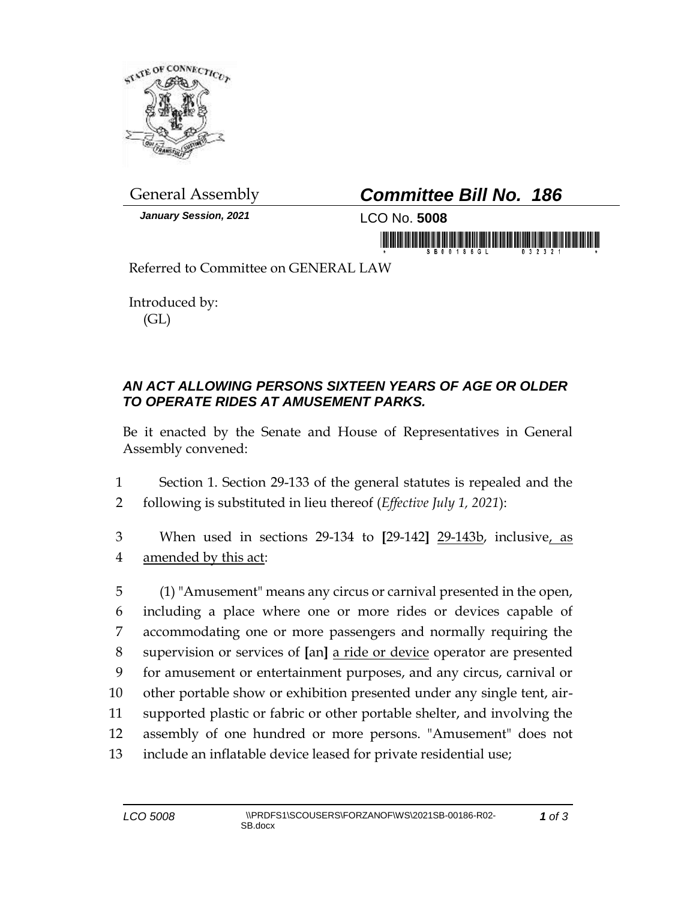

*January Session, 2021* LCO No. **5008**

## General Assembly *Committee Bill No. 186*

in mornin di fabili bili di falimoni di hili

Referred to Committee on GENERAL LAW

Introduced by: (GL)

## *AN ACT ALLOWING PERSONS SIXTEEN YEARS OF AGE OR OLDER TO OPERATE RIDES AT AMUSEMENT PARKS.*

Be it enacted by the Senate and House of Representatives in General Assembly convened:

1 Section 1. Section 29-133 of the general statutes is repealed and the 2 following is substituted in lieu thereof (*Effective July 1, 2021*):

3 When used in sections 29-134 to **[**29-142**]** 29-143b, inclusive, as 4 amended by this act:

 (1) "Amusement" means any circus or carnival presented in the open, including a place where one or more rides or devices capable of accommodating one or more passengers and normally requiring the supervision or services of **[**an**]** a ride or device operator are presented for amusement or entertainment purposes, and any circus, carnival or other portable show or exhibition presented under any single tent, air- supported plastic or fabric or other portable shelter, and involving the assembly of one hundred or more persons. "Amusement" does not include an inflatable device leased for private residential use;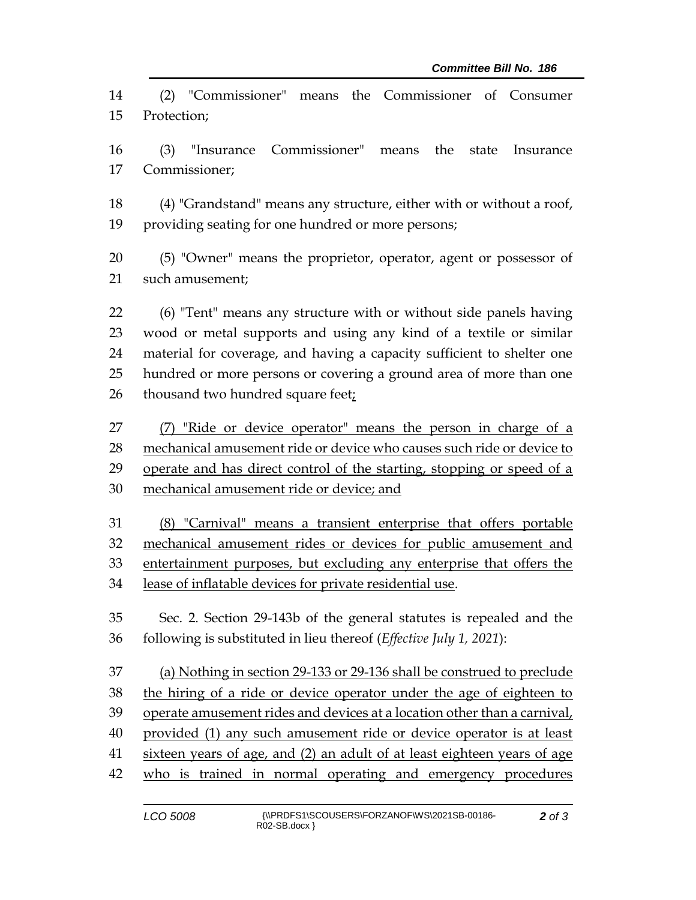(2) "Commissioner" means the Commissioner of Consumer Protection;

 (3) "Insurance Commissioner" means the state Insurance Commissioner;

 (4) "Grandstand" means any structure, either with or without a roof, providing seating for one hundred or more persons;

 (5) "Owner" means the proprietor, operator, agent or possessor of such amusement;

 (6) "Tent" means any structure with or without side panels having wood or metal supports and using any kind of a textile or similar material for coverage, and having a capacity sufficient to shelter one hundred or more persons or covering a ground area of more than one 26 thousand two hundred square feet;

 (7) "Ride or device operator" means the person in charge of a mechanical amusement ride or device who causes such ride or device to operate and has direct control of the starting, stopping or speed of a mechanical amusement ride or device; and

 (8) "Carnival" means a transient enterprise that offers portable mechanical amusement rides or devices for public amusement and entertainment purposes, but excluding any enterprise that offers the lease of inflatable devices for private residential use.

 Sec. 2. Section 29-143b of the general statutes is repealed and the following is substituted in lieu thereof (*Effective July 1, 2021*):

 (a) Nothing in section 29-133 or 29-136 shall be construed to preclude the hiring of a ride or device operator under the age of eighteen to operate amusement rides and devices at a location other than a carnival, provided (1) any such amusement ride or device operator is at least sixteen years of age, and (2) an adult of at least eighteen years of age who is trained in normal operating and emergency procedures